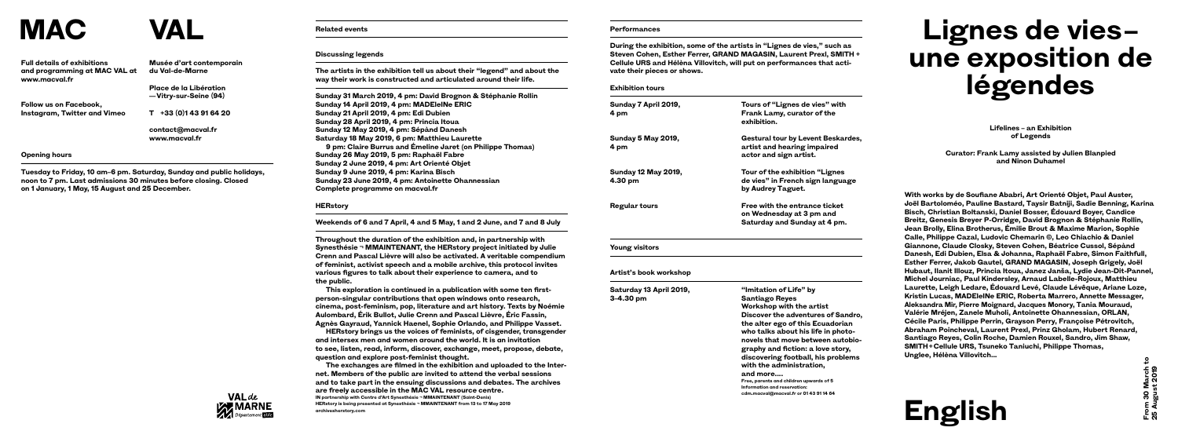# Lignes de vies**une exposition de légendes**

**Lifelines – an Exhibition of Legends**

**Curator: Frank Lamy assisted by Julien Blanpied and Ninon Duhamel**

**With works by de Soufiane Ababri, Art Orienté Objet, Paul Auster, Joël Bartoloméo, Pauline Bastard, Taysir Batniji, Sadie Benning, Karina Bisch, Christian Boltanski, Daniel Bosser, Édouard Boyer, Candice Breitz, Genesis Breyer P-Orridge, David Brognon & Stéphanie Rollin, Jean Brolly, Elina Brotherus, Émilie Brout & Maxime Marion, Sophie Calle, Philippe Cazal, Ludovic Chemarin ©, Leo Chiachio & Daniel Giannone, Claude Closky, Steven Cohen, Béatrice Cussol, Sépànd Danesh, Edi Dubien, Elsa & Johanna, Raphaël Fabre, Simon Faithfull, Esther Ferrer, Jakob Gautel, GRAND MAGASIN, Joseph Grigely, Joël Hubaut, Ilanit Illouz, Princia Itoua, Janez Janša, Lydie Jean-Dit-Pannel, Michel Journiac, Paul Kindersley, Arnaud Labelle-Rojoux, Matthieu Laurette, Leigh Ledare, Édouard Levé, Claude Lévêque, Ariane Loze, Kristin Lucas, MADEleINe ERIC, Roberta Marrero, Annette Messager, Aleksandra Mir, Pierre Moignard, Jacques Monory, Tania Mouraud, Valérie Mréjen, Zanele Muholi, Antoinette Ohannessian, ORLAN, Cécile Paris, Philippe Perrin, Grayson Perry, Françoise Pétrovitch, Abraham Poincheval, Laurent Prexl, Prinz Gholam, Hubert Renard, Santiago Reyes, Colin Roche, Damien Rouxel, Sandro, Jim Shaw, SMITH + Cellule URS, Tsuneko Taniuchi, Philippe Thomas, Unglee, Hélèna Villovitch…**

### **Related events**

#### **Discussing legends**

**The artists in the exhibition tell us about their "legend" and about the way their work is constructed and articulated around their life.**

**Sunday 31 March 2019, 4 pm: David Brognon & Stéphanie Rollin Sunday 14 April 2019, 4 pm: MADEleINe ERIC Sunday 21 April 2019, 4 pm: Edi Dubien Sunday 28 April 2019, 4 pm: Princia Itoua Sunday 12 May 2019, 4 pm: Sépànd Danesh Saturday 18 May 2019, 6 pm: Matthieu Laurette 9 pm: Claire Burrus and Émeline Jaret (on Philippe Thomas) Sunday 26 May 2019, 5 pm: Raphaël Fabre Sunday 2 June 2019, 4 pm: Art Orienté Objet Sunday 9 June 2019, 4 pm: Karina Bisch Sunday 23 June 2019, 4 pm: Antoinette Ohannessian Complete programme on macval.fr**

#### **HERstory**

**Weekends of 6 and 7 April, 4 and 5 May, 1 and 2 June, and 7 and 8 July**

**Throughout the duration of the exhibition and, in partnership with Synesthésie ¬ MMAINTENANT, the HERstory project initiated by Julie Crenn and Pascal Lièvre will also be activated. A veritable compendium of feminist, activist speech and a mobile archive, this protocol invites various figures to talk about their experience to camera, and to the public.**

**This exploration is continued in a publication with some ten firstperson-singular contributions that open windows onto research, cinema, post-feminism, pop, literature and art history. Texts by Noémie Aulombard, Érik Bullot, Julie Crenn and Pascal Lièvre, Éric Fassin, Agnès Gayraud, Yannick Haenel, Sophie Orlando, and Philippe Vasset.**

**HERstory brings us the voices of feminists, of cisgender, transgender and intersex men and women around the world. It is an invitation to see, listen, read, inform, discover, exchange, meet, propose, debate, question and explore post-feminist thought.**

**The exchanges are filmed in the exhibition and uploaded to the Internet. Members of the public are invited to attend the verbal sessions and to take part in the ensuing discussions and debates. The archives are freely accessible in the MAC VAL resource centre. IN partnership with Centre d'Art Synesthésie ¬ MMAINTENANT (Saint-Denis) HERstory is being presented at Synesthésie ¬ MMAINTENANT from 13 to 17 May 2019 archivesherstory.com**

#### **Performances**

**During the exhibition, some of the artists in "Lignes de vies," such as Steven Cohen, Esther Ferrer, GRAND MAGASIN, Laurent Prexl, SMITH + Cellule URS and Hélèna Villovitch, will put on performances that activate their pieces or shows.**

**Exhibition tours**

**Sunday 7 April 2019, 4 pm**

**Sunday 5 May 2019, 4 pm**

**Tours of "Lignes de vies" with Frank Lamy, curator of the exhibition. Gestural tour by Levent Beskardes, artist and hearing impaired actor and sign artist. Tour of the exhibition "Lignes de vies" in French sign language by Audrey Taguet. Regular tours Free with the entrance ticket on Wednesday at 3 pm and Saturday and Sunday at 4 pm.**

**Sunday 12 May 2019, 4.30 pm**

**Young visitors**

**Artist's book workshop**

**Saturday 13 April 2019, 3–4.30 pm**



**"Imitation of Life" by Santiago Reyes Workshop with the artist Discover the adventures of Sandro, the alter ego of this Ecuadorian who talks about his life in photonovels that move between autobiography and fiction: a love story, discovering football, his problems with the administration, and more.... Free, parents and children upwards of 5** 

**Information and reservation: cdm.macval@macval.fr or 01 43 91 14 64**



**From 30 March to**  From 30 March 1<br>25 August 2019 **25 August 2019**

**Musée d'art contemporain du Val-de-Marne**

**Place de la Libération — Vitry-sur-Seine (94)**

**T +33 (0)1 43 91 64 20**

**contact@macval.fr www.macval.fr**

## **MAC VAL**



**Full details of exhibitions and programming at MAC VAL at www.macval.fr**

**Follow us on Facebook, Instagram, Twitter and Vimeo**

#### **Opening hours**

**Tuesday to Friday, 10 am–6 pm. Saturday, Sunday and public holidays, noon to 7 pm. Last admissions 30 minutes before closing. Closed on 1 January, 1 May, 15 August and 25 December.**